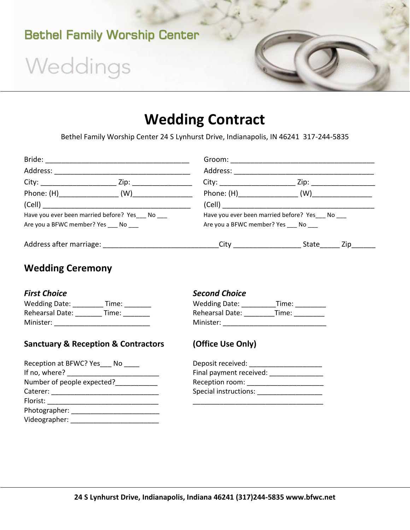

# Weddings

## **Wedding Contract**

Bethel Family Worship Center 24 S Lynhurst Drive, Indianapolis, IN 46241 317-244-5835

|                                                  | Groom:                                                                                                         |  |
|--------------------------------------------------|----------------------------------------------------------------------------------------------------------------|--|
| Address:                                         | Address:                                                                                                       |  |
| Zip:                                             | Zip:<br>City:                                                                                                  |  |
|                                                  | (W)                                                                                                            |  |
| (Cell)                                           | (Cell) and the contract of the contract of the contract of the contract of the contract of the contract of the |  |
| Have you ever been married before? Yes___ No ___ | Have you ever been married before? Yes___ No ___                                                               |  |
| Are you a BFWC member? Yes ____ No ____          | Are you a BFWC member? Yes ____ No ____                                                                        |  |
| Address after marriage:                          | City _______________<br>State<br>Zip                                                                           |  |

### **Wedding Ceremony**

| <b>Wedding Date:</b> | Time: |
|----------------------|-------|
| Rehearsal Date:      | Time: |
| Minister:            |       |

### **Sanctuary & Reception & Contractors (Office Use Only)**

| Reception at BFWC? Yes No  | Deposit received:       |
|----------------------------|-------------------------|
| If no, where?              | Final payment received: |
| Number of people expected? | Reception room:         |
| Caterer:                   | Special instructions:   |
| Florist:                   |                         |
| Photographer:              |                         |
| Videographer:              |                         |

### **Second Choice**

| <b>Wedding Date:</b> | Time: | <b>Wedding Date:</b>   | Fime: |  |
|----------------------|-------|------------------------|-------|--|
| Rehearsal Date:      | Time: | <b>Rehearsal Date:</b> | Fime: |  |
| Minister:            |       | Minister:              |       |  |

| Deposit received:       |
|-------------------------|
| Final payment received: |
| Reception room:         |
| Special instructions:   |
|                         |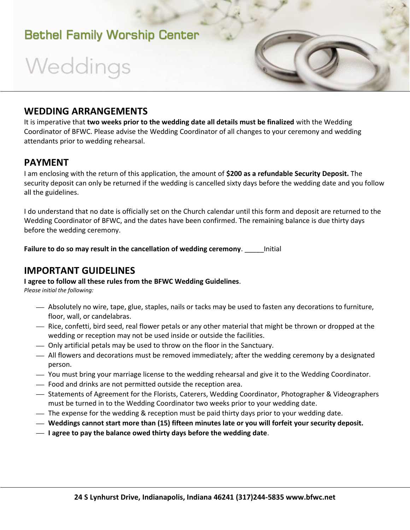### Bethel Family Worship Center

# Weddings

### **WEDDING ARRANGEMENTS**

It is imperative that **two weeks prior to the wedding date all details must be finalized** with the Wedding Coordinator of BFWC. Please advise the Wedding Coordinator of all changes to your ceremony and wedding attendants prior to wedding rehearsal.

### **PAYMENT**

I am enclosing with the return of this application, the amount of **\$200 as a refundable Security Deposit.** The security deposit can only be returned if the wedding is cancelled sixty days before the wedding date and you follow all the guidelines.

I do understand that no date is officially set on the Church calendar until this form and deposit are returned to the Wedding Coordinator of BFWC, and the dates have been confirmed. The remaining balance is due thirty days before the wedding ceremony.

**Failure to do so may result in the cancellation of wedding ceremony**. \_\_\_\_\_Initial

### **IMPORTANT GUIDELINES**

#### **I agree to follow all these rules from the BFWC Wedding Guidelines**.

*Please initial the following:*

- Absolutely no wire, tape, glue, staples, nails or tacks may be used to fasten any decorations to furniture, floor, wall, or candelabras.
- $-$  Rice, confetti, bird seed, real flower petals or any other material that might be thrown or dropped at the wedding or reception may not be used inside or outside the facilities.
- Only artificial petals may be used to throw on the floor in the Sanctuary.
- All flowers and decorations must be removed immediately; after the wedding ceremony by a designated person.
- You must bring your marriage license to the wedding rehearsal and give it to the Wedding Coordinator.
- Food and drinks are not permitted outside the reception area.
- $-$  Statements of Agreement for the Florists, Caterers, Wedding Coordinator, Photographer & Videographers must be turned in to the Wedding Coordinator two weeks prior to your wedding date.
- The expense for the wedding & reception must be paid thirty days prior to your wedding date.
- **Weddings cannot start more than (15) fifteen minutes late or you will forfeit your security deposit.**
- **I agree to pay the balance owed thirty days before the wedding date**.